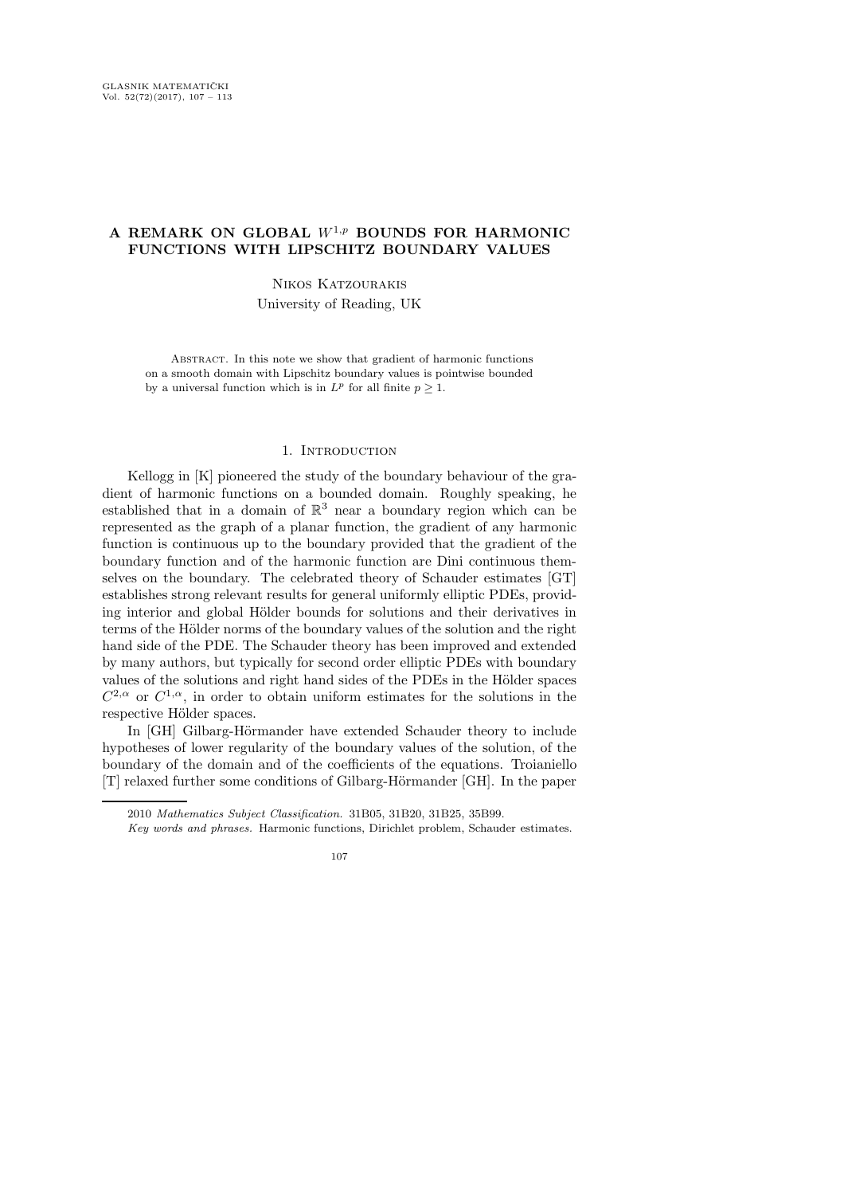# A REMARK ON GLOBAL  $W^{1,p}$  BOUNDS FOR HARMONIC FUNCTIONS WITH LIPSCHITZ BOUNDARY VALUES

## Nikos Katzourakis

University of Reading, UK

Abstract. In this note we show that gradient of harmonic functions on a smooth domain with Lipschitz boundary values is pointwise bounded by a universal function which is in  $L^p$  for all finite  $p \geq 1$ .

#### 1. INTRODUCTION

Kellogg in [K] pioneered the study of the boundary behaviour of the gradient of harmonic functions on a bounded domain. Roughly speaking, he established that in a domain of  $\mathbb{R}^3$  near a boundary region which can be represented as the graph of a planar function, the gradient of any harmonic function is continuous up to the boundary provided that the gradient of the boundary function and of the harmonic function are Dini continuous themselves on the boundary. The celebrated theory of Schauder estimates [GT] establishes strong relevant results for general uniformly elliptic PDEs, providing interior and global Hölder bounds for solutions and their derivatives in terms of the Hölder norms of the boundary values of the solution and the right hand side of the PDE. The Schauder theory has been improved and extended by many authors, but typically for second order elliptic PDEs with boundary values of the solutions and right hand sides of the PDEs in the Hölder spaces  $C^{2,\alpha}$  or  $C^{1,\alpha}$ , in order to obtain uniform estimates for the solutions in the respective Hölder spaces.

In [GH] Gilbarg-Hörmander have extended Schauder theory to include hypotheses of lower regularity of the boundary values of the solution, of the boundary of the domain and of the coefficients of the equations. Troianiello [T] relaxed further some conditions of Gilbarg-Hörmander [GH]. In the paper

<sup>2010</sup> Mathematics Subject Classification. 31B05, 31B20, 31B25, 35B99.

Key words and phrases. Harmonic functions, Dirichlet problem, Schauder estimates.

<sup>107</sup>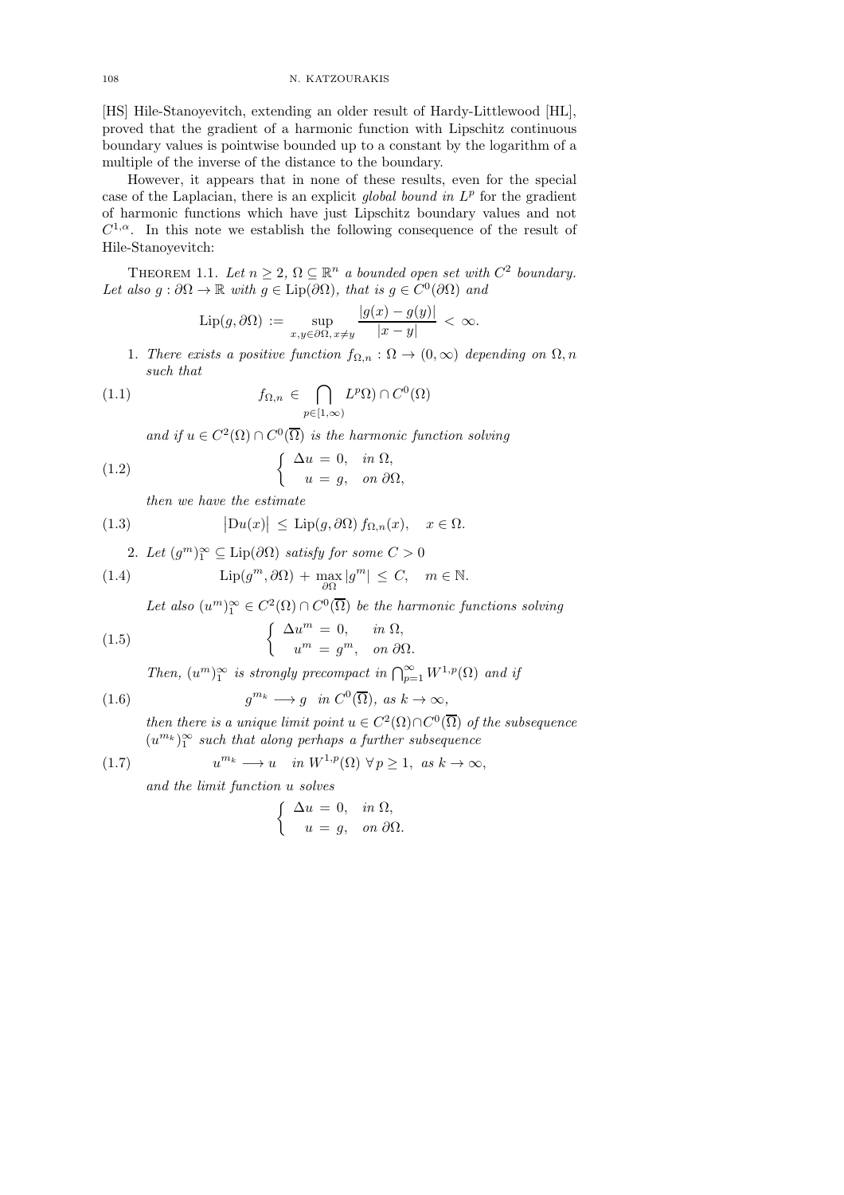108 N. KATZOURAKIS

[HS] Hile-Stanoyevitch, extending an older result of Hardy-Littlewood [HL], proved that the gradient of a harmonic function with Lipschitz continuous boundary values is pointwise bounded up to a constant by the logarithm of a multiple of the inverse of the distance to the boundary.

However, it appears that in none of these results, even for the special case of the Laplacian, there is an explicit global bound in  $L^p$  for the gradient of harmonic functions which have just Lipschitz boundary values and not  $C^{1,\alpha}$ . In this note we establish the following consequence of the result of Hile-Stanoyevitch:

THEOREM 1.1. Let  $n \geq 2$ ,  $\Omega \subseteq \mathbb{R}^n$  a bounded open set with  $C^2$  boundary. Let also  $g : \partial \Omega \to \mathbb{R}$  with  $g \in \text{Lip}(\partial \Omega)$ , that is  $g \in C^0(\partial \Omega)$  and

$$
\operatorname{Lip}(g,\partial\Omega) := \sup_{x,y\in\partial\Omega,\,x\neq y} \frac{|g(x)-g(y)|}{|x-y|} < \infty.
$$

1. There exists a positive function  $f_{\Omega,n}$ :  $\Omega \to (0,\infty)$  depending on  $\Omega, n$ such that

(1.1) 
$$
f_{\Omega,n} \in \bigcap_{p \in [1,\infty)} L^p \Omega \cap C^0(\Omega)
$$

and if  $u \in C^2(\Omega) \cap C^0(\overline{\Omega})$  is the harmonic function solving

(1.2) 
$$
\begin{cases} \Delta u = 0, & in \Omega, \\ u = g, & on \partial\Omega, \end{cases}
$$

then we have the estimate

(1.3) 
$$
|Du(x)| \leq Lip(g, \partial\Omega) f_{\Omega,n}(x), \quad x \in \Omega.
$$

2. Let 
$$
(g^m)_1^{\infty} \subseteq \text{Lip}(\partial \Omega)
$$
 satisfy for some  $C > 0$ 

(1.4) 
$$
\text{Lip}(g^m, \partial\Omega) + \max_{\partial\Omega} |g^m| \leq C, \quad m \in \mathbb{N}.
$$

Let also  $(u^m)_1^{\infty} \in C^2(\Omega) \cap C^0(\overline{\Omega})$  be the harmonic functions solving

(1.5) 
$$
\begin{cases} \Delta u^m = 0, & in \ \Omega, \\ u^m = g^m, & on \ \partial \Omega. \end{cases}
$$

Then,  $(u^m)_1^{\infty}$  is strongly precompact in  $\bigcap_{p=1}^{\infty} W^{1,p}(\Omega)$  and if

(1.6) 
$$
g^{m_k} \longrightarrow g \quad in \ C^0(\overline{\Omega}), \ as \ k \to \infty,
$$

then there is a unique limit point  $u \in C^2(\Omega) \cap C^0(\overline{\Omega})$  of the subsequence  $(u^{m_k})_1^{\infty}$  such that along perhaps a further subsequence

(1.7) 
$$
u^{m_k} \longrightarrow u \quad in \ W^{1,p}(\Omega) \ \forall \ p \ge 1, \ as \ k \to \infty,
$$

and the limit function u solves

$$
\begin{cases} \Delta u = 0, & \text{in } \Omega, \\ u = g, & \text{on } \partial \Omega. \end{cases}
$$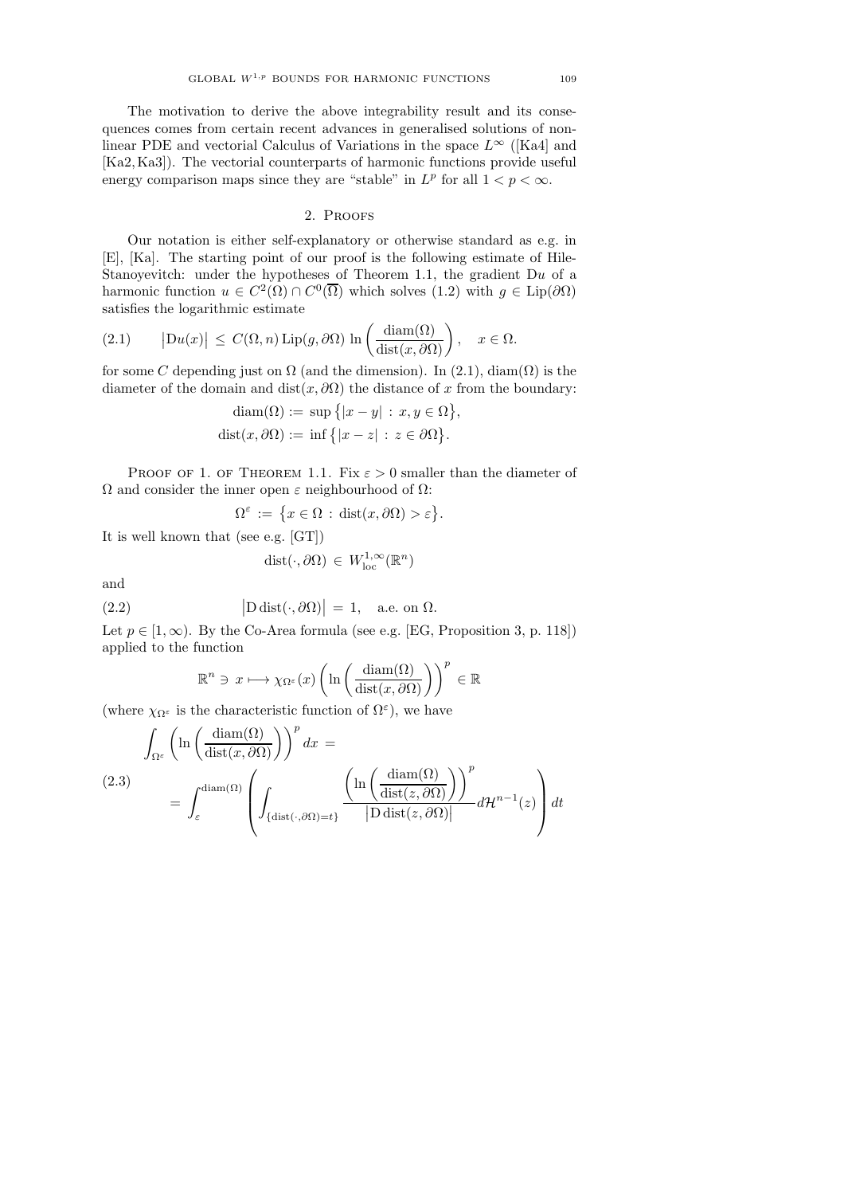The motivation to derive the above integrability result and its consequences comes from certain recent advances in generalised solutions of nonlinear PDE and vectorial Calculus of Variations in the space  $L^{\infty}$  ([Ka4] and [Ka2, Ka3]). The vectorial counterparts of harmonic functions provide useful energy comparison maps since they are "stable" in  $L^p$  for all  $1 < p < \infty$ .

### 2. Proofs

Our notation is either self-explanatory or otherwise standard as e.g. in [E], [Ka]. The starting point of our proof is the following estimate of Hile-Stanoyevitch: under the hypotheses of Theorem 1.1, the gradient  $Du$  of a harmonic function  $u \in C^2(\Omega) \cap C^0(\overline{\Omega})$  which solves  $(1.2)$  with  $g \in \text{Lip}(\partial \Omega)$ satisfies the logarithmic estimate

(2.1) 
$$
|Du(x)| \leq C(\Omega, n) \operatorname{Lip}(g, \partial \Omega) \ln \left( \frac{\operatorname{diam}(\Omega)}{\operatorname{dist}(x, \partial \Omega)} \right), \quad x \in \Omega.
$$

for some C depending just on  $\Omega$  (and the dimension). In (2.1), diam( $\Omega$ ) is the diameter of the domain and dist $(x, \partial \Omega)$  the distance of x from the boundary:

$$
diam(\Omega) := sup \{ |x - y| : x, y \in \Omega \},
$$
  

$$
dist(x, \partial \Omega) := inf \{ |x - z| : z \in \partial \Omega \}.
$$

PROOF OF 1. OF THEOREM 1.1. Fix  $\varepsilon > 0$  smaller than the diameter of  $Ω$  and consider the inner open  $ε$  neighbourhood of  $Ω$ :

$$
\Omega^{\varepsilon} := \{ x \in \Omega : \text{dist}(x, \partial \Omega) > \varepsilon \}.
$$

It is well known that (see e.g. [GT])

$$
dist(\cdot, \partial \Omega) \in W^{1,\infty}_{loc}(\mathbb{R}^n)
$$

and

(2.2) 
$$
|\text{D dist}(\cdot, \partial \Omega)| = 1, \text{ a.e. on } \Omega.
$$

Let  $p \in [1,\infty)$ . By the Co-Area formula (see e.g. [EG, Proposition 3, p. 118]) applied to the function

$$
\mathbb{R}^n \ni x \longmapsto \chi_{\Omega^{\varepsilon}}(x) \left( \ln \left( \frac{\operatorname{diam}(\Omega)}{\operatorname{dist}(x, \partial \Omega)} \right) \right)^p \in \mathbb{R}
$$

(where  $\chi_{\Omega^{\varepsilon}}$  is the characteristic function of  $\Omega^{\varepsilon}$ ), we have

$$
\int_{\Omega^{\varepsilon}} \left( \ln \left( \frac{\operatorname{diam}(\Omega)}{\operatorname{dist}(x, \partial \Omega)} \right) \right)^p dx =
$$
\n
$$
(2.3) \qquad = \int_{\varepsilon}^{\operatorname{diam}(\Omega)} \left( \int_{\{\operatorname{dist}(\cdot, \partial \Omega) = t\}} \frac{\left( \ln \left( \frac{\operatorname{diam}(\Omega)}{\operatorname{dist}(z, \partial \Omega)} \right) \right)^p}{|D \operatorname{dist}(z, \partial \Omega)|} d\mathcal{H}^{n-1}(z) \right) dt
$$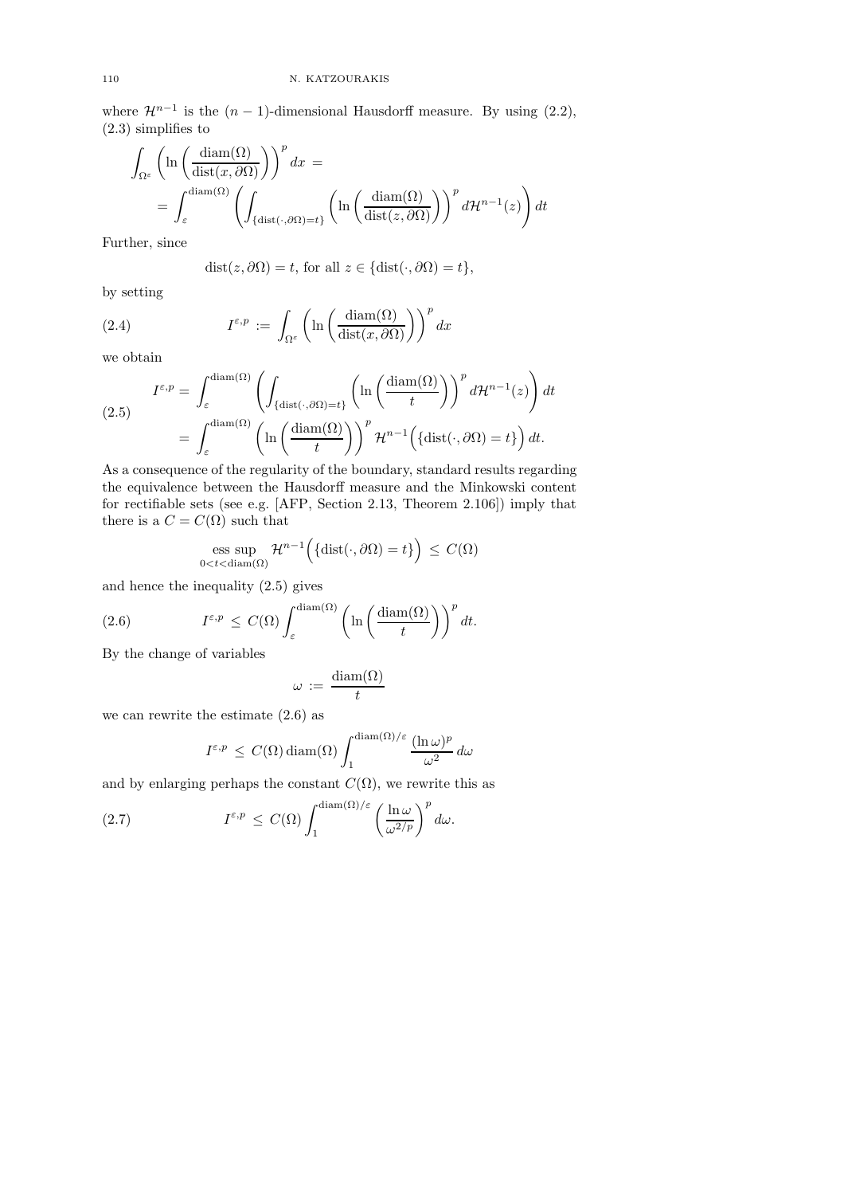where  $\mathcal{H}^{n-1}$  is the  $(n-1)$ -dimensional Hausdorff measure. By using  $(2.2)$ , (2.3) simplifies to

$$
\int_{\Omega^{\varepsilon}} \left( \ln \left( \frac{\operatorname{diam}(\Omega)}{\operatorname{dist}(x, \partial \Omega)} \right) \right)^p dx =
$$
\n
$$
= \int_{\varepsilon}^{\operatorname{diam}(\Omega)} \left( \int_{\{\operatorname{dist}(\cdot, \partial \Omega) = t\}} \left( \ln \left( \frac{\operatorname{diam}(\Omega)}{\operatorname{dist}(z, \partial \Omega)} \right) \right)^p d\mathcal{H}^{n-1}(z) \right) dt
$$

Further, since

$$
dist(z, \partial \Omega) = t, \text{ for all } z \in \{dist(\cdot, \partial \Omega) = t\},
$$

by setting

(2.4) 
$$
I^{\varepsilon,p} := \int_{\Omega^{\varepsilon}} \left( \ln \left( \frac{\operatorname{diam}(\Omega)}{\operatorname{dist}(x,\partial \Omega)} \right) \right)^p dx
$$

we obtain

$$
I^{\varepsilon,p} = \int_{\varepsilon}^{\text{diam}(\Omega)} \left( \int_{\{\text{dist}(\cdot,\partial\Omega)=t\}} \left( \ln\left(\frac{\text{diam}(\Omega)}{t}\right) \right)^p d\mathcal{H}^{n-1}(z) \right) dt
$$

$$
= \int_{\varepsilon}^{\text{diam}(\Omega)} \left( \ln\left(\frac{\text{diam}(\Omega)}{t}\right) \right)^p \mathcal{H}^{n-1}\left(\{\text{dist}(\cdot,\partial\Omega)=t\}\right) dt.
$$

As a consequence of the regularity of the boundary, standard results regarding the equivalence between the Hausdorff measure and the Minkowski content for rectifiable sets (see e.g. [AFP, Section 2.13, Theorem 2.106]) imply that there is a  $C = C(\Omega)$  such that

ess sup 
$$
\mathcal{H}^{n-1}(\{\text{dist}(\cdot,\partial\Omega)=t\}) \leq C(\Omega)
$$
  
 $0 < t < \text{diam}(\Omega)$ 

and hence the inequality (2.5) gives

(2.6) 
$$
I^{\varepsilon,p} \leq C(\Omega) \int_{\varepsilon}^{\text{diam}(\Omega)} \left( \ln \left( \frac{\text{diam}(\Omega)}{t} \right) \right)^p dt.
$$

By the change of variables

$$
\omega\,:=\,\frac{\mathrm{diam}(\Omega)}{t}
$$

we can rewrite the estimate (2.6) as

$$
I^{\varepsilon,p} \, \leq \, C(\Omega) \operatorname{diam}(\Omega) \int_1^{\operatorname{diam}(\Omega)/\varepsilon} \frac{(\ln \omega)^p}{\omega^2} \, d\omega
$$

and by enlarging perhaps the constant  $C(\Omega)$ , we rewrite this as

(2.7) 
$$
I^{\varepsilon,p} \leq C(\Omega) \int_1^{\text{diam}(\Omega)/\varepsilon} \left(\frac{\ln \omega}{\omega^{2/p}}\right)^p d\omega.
$$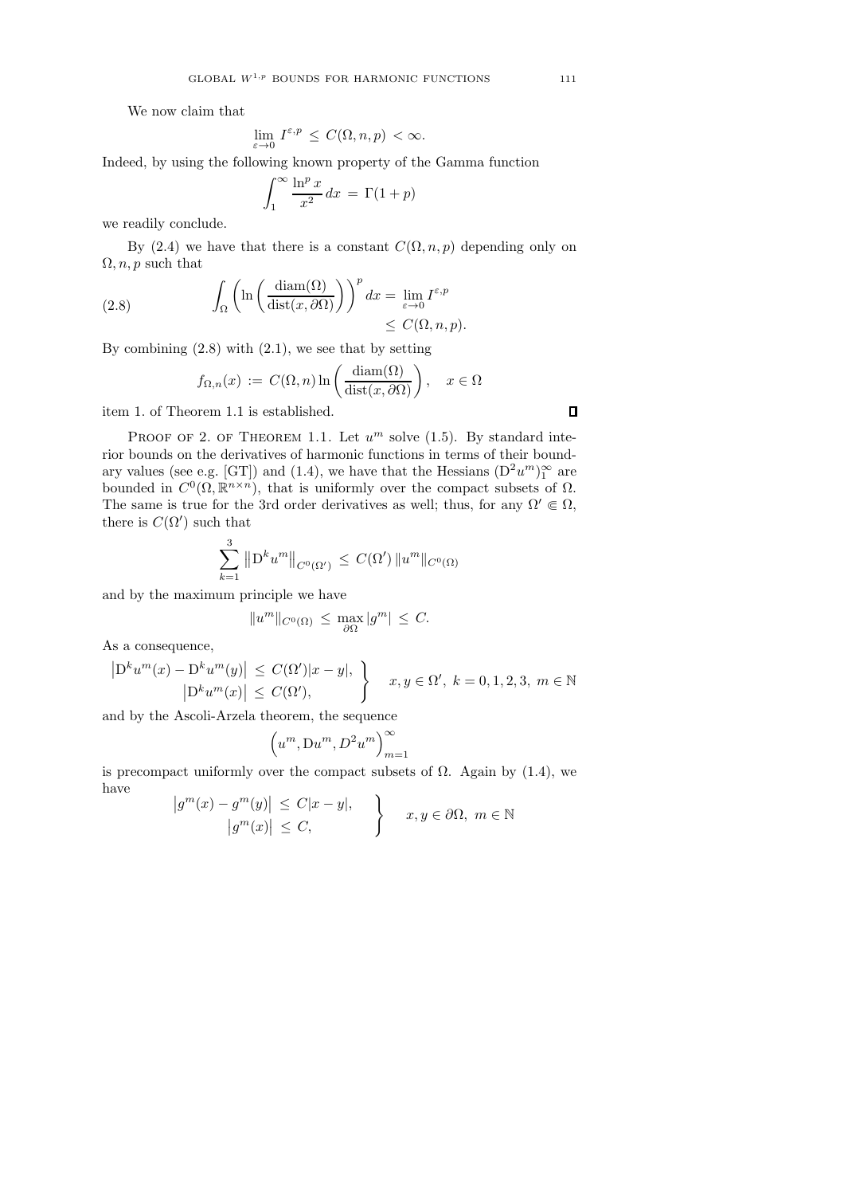We now claim that

$$
\lim_{\varepsilon \to 0} I^{\varepsilon, p} \le C(\Omega, n, p) < \infty.
$$

Indeed, by using the following known property of the Gamma function

$$
\int_{1}^{\infty} \frac{\ln^p x}{x^2} dx = \Gamma(1+p)
$$

we readily conclude.

By (2.4) we have that there is a constant  $C(\Omega, n, p)$  depending only on  $\Omega$ , *n*, *p* such that

(2.8) 
$$
\int_{\Omega} \left( \ln \left( \frac{\operatorname{diam}(\Omega)}{\operatorname{dist}(x, \partial \Omega)} \right) \right)^p dx = \lim_{\varepsilon \to 0} I^{\varepsilon, p} \leq C(\Omega, n, p).
$$

By combining  $(2.8)$  with  $(2.1)$ , we see that by setting

$$
f_{\Omega,n}(x) := C(\Omega, n) \ln \left( \frac{\text{diam}(\Omega)}{\text{dist}(x, \partial \Omega)} \right), \quad x \in \Omega
$$

item 1. of Theorem 1.1 is established.

PROOF OF 2. OF THEOREM 1.1. Let  $u^m$  solve (1.5). By standard interior bounds on the derivatives of harmonic functions in terms of their boundary values (see e.g. [GT]) and (1.4), we have that the Hessians  $(D^2u^m)_1^{\infty}$  are bounded in  $C^0(\Omega,\mathbb{R}^{n\times n})$ , that is uniformly over the compact subsets of  $\Omega$ . The same is true for the 3rd order derivatives as well; thus, for any  $\Omega' \in \Omega$ , there is  $C(\Omega')$  such that

$$
\sum_{k=1}^{3} \|D^{k}u^{m}\|_{C^{0}(\Omega')}\leq C(\Omega')\|u^{m}\|_{C^{0}(\Omega)}
$$

and by the maximum principle we have

$$
||u^m||_{C^0(\Omega)} \le \max_{\partial\Omega} |g^m| \le C.
$$

As a consequence,

$$
\left| \mathcal{D}^{k} u^{m}(x) - \mathcal{D}^{k} u^{m}(y) \right| \leq C(\Omega') |x - y|, \left| \mathcal{D}^{k} u^{m}(x) \right| \leq C(\Omega'), x, y \in \Omega', k = 0, 1, 2, 3, m \in \mathbb{N}
$$

and by the Ascoli-Arzela theorem, the sequence

$$
\Big(u^m,\mathrm{D} u^m,D^2u^m\Big)_{m=1}^\infty
$$

is precompact uniformly over the compact subsets of  $\Omega$ . Again by (1.4), we have

$$
\begin{aligned}\n\left|g^m(x) - g^m(y)\right| &\le C|x - y|, \\
\left|g^m(x)\right| &\le C,\n\end{aligned}\n\quad \sum\limits_{x,y \in \partial\Omega, m \in \mathbb{N}}
$$

 $\Box$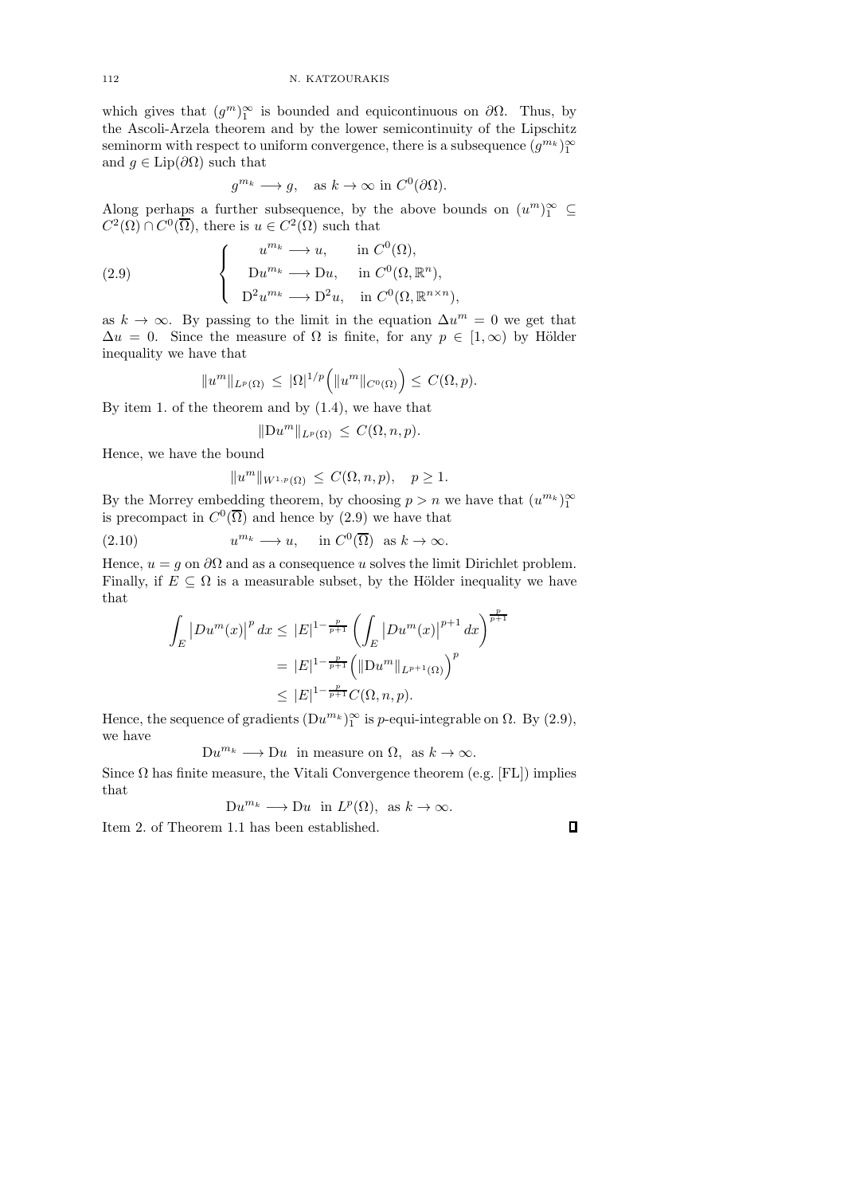which gives that  $(g<sup>m</sup>)<sub>1</sub><sup>\infty</sup>$  is bounded and equicontinuous on  $\partial\Omega$ . Thus, by the Ascoli-Arzela theorem and by the lower semicontinuity of the Lipschitz seminorm with respect to uniform convergence, there is a subsequence  $(g^{m_k})_1^{\infty}$ and  $g \in \text{Lip}(\partial \Omega)$  such that

$$
g^{m_k} \longrightarrow g, \quad \text{as } k \to \infty \text{ in } C^0(\partial \Omega).
$$

Along perhaps a further subsequence, by the above bounds on  $(u^m)_1^{\infty} \subseteq$  $C^2(\Omega) \cap C^0(\overline{\Omega})$ , there is  $u \in C^2(\Omega)$  such that

(2.9) 
$$
\begin{cases}\nu^{m_k} \longrightarrow u, & \text{in } C^0(\Omega), \\
Du^{m_k} \longrightarrow Du, & \text{in } C^0(\Omega, \mathbb{R}^n), \\
D^2 u^{m_k} \longrightarrow D^2 u, & \text{in } C^0(\Omega, \mathbb{R}^{n \times n}),\n\end{cases}
$$

as  $k \to \infty$ . By passing to the limit in the equation  $\Delta u^m = 0$  we get that  $\Delta u = 0$ . Since the measure of  $\Omega$  is finite, for any  $p \in [1, \infty)$  by Hölder inequality we have that

$$
||u^m||_{L^p(\Omega)} \leq |\Omega|^{1/p} \Big( ||u^m||_{C^0(\Omega)} \Big) \leq C(\Omega, p).
$$

By item 1. of the theorem and by (1.4), we have that

$$
||Du^m||_{L^p(\Omega)} \leq C(\Omega, n, p).
$$

Hence, we have the bound

$$
||u^m||_{W^{1,p}(\Omega)} \leq C(\Omega, n, p), \quad p \geq 1.
$$

By the Morrey embedding theorem, by choosing  $p > n$  we have that  $(u^{m_k})_1^{\infty}$ is precompact in  $C^0(\overline{\Omega})$  and hence by (2.9) we have that

(2.10) 
$$
u^{m_k} \longrightarrow u
$$
, in  $C^0(\overline{\Omega})$  as  $k \to \infty$ .

Hence,  $u = g$  on  $\partial\Omega$  and as a consequence u solves the limit Dirichlet problem. Finally, if  $E \subseteq \Omega$  is a measurable subset, by the Hölder inequality we have that

$$
\int_{E} |Du^{m}(x)|^{p} dx \leq |E|^{1-\frac{p}{p+1}} \left( \int_{E} |Du^{m}(x)|^{p+1} dx \right)^{\frac{p}{p+1}}
$$

$$
= |E|^{1-\frac{p}{p+1}} \left( ||Du^{m}||_{L^{p+1}(\Omega)} \right)^{p}
$$

$$
\leq |E|^{1-\frac{p}{p+1}} C(\Omega, n, p).
$$

Hence, the sequence of gradients  $(Du^{m_k})_1^{\infty}$  is *p*-equi-integrable on  $\Omega$ . By (2.9), we have

$$
Du^{m_k} \longrightarrow Du \text{ in measure on } \Omega, \text{ as } k \to \infty.
$$

Since  $\Omega$  has finite measure, the Vitali Convergence theorem (e.g. [FL]) implies that

$$
Du^{m_k} \longrightarrow Du \text{ in } L^p(\Omega), \text{ as } k \to \infty.
$$

Item 2. of Theorem 1.1 has been established.

 $\Box$